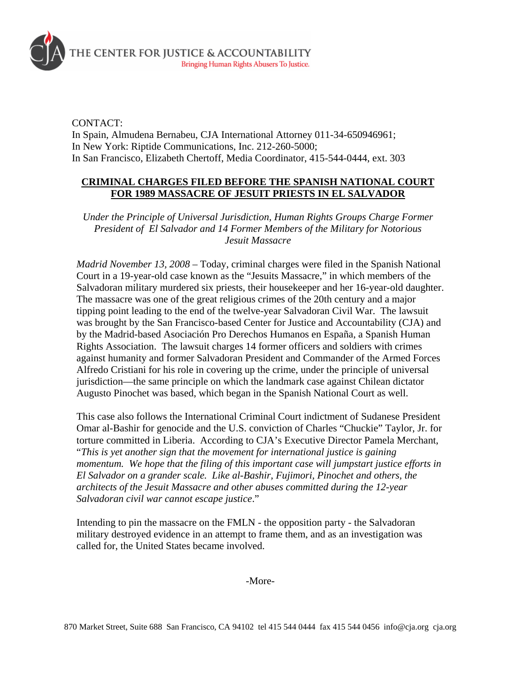

CONTACT:

In Spain, Almudena Bernabeu, CJA International Attorney 011-34-650946961; In New York: Riptide Communications, Inc. 212-260-5000; In San Francisco, Elizabeth Chertoff, Media Coordinator, 415-544-0444, ext. 303

## **CRIMINAL CHARGES FILED BEFORE THE SPANISH NATIONAL COURT FOR 1989 MASSACRE OF JESUIT PRIESTS IN EL SALVADOR**

*Under the Principle of Universal Jurisdiction, Human Rights Groups Charge Former President of El Salvador and 14 Former Members of the Military for Notorious Jesuit Massacre* 

*Madrid November 13, 2008* – Today, criminal charges were filed in the Spanish National Court in a 19-year-old case known as the "Jesuits Massacre," in which members of the Salvadoran military murdered six priests, their housekeeper and her 16-year-old daughter. The massacre was one of the great religious crimes of the 20th century and a major tipping point leading to the end of the twelve-year Salvadoran Civil War. The lawsuit was brought by the San Francisco-based Center for Justice and Accountability (CJA) and by the Madrid-based Asociación Pro Derechos Humanos en España, a Spanish Human Rights Association. The lawsuit charges 14 former officers and soldiers with crimes against humanity and former Salvadoran President and Commander of the Armed Forces Alfredo Cristiani for his role in covering up the crime, under the principle of universal jurisdiction—the same principle on which the landmark case against Chilean dictator Augusto Pinochet was based, which began in the Spanish National Court as well.

This case also follows the International Criminal Court indictment of Sudanese President Omar al-Bashir for genocide and the U.S. conviction of Charles "Chuckie" Taylor, Jr. for torture committed in Liberia. According to CJA's Executive Director Pamela Merchant, "*This is yet another sign that the movement for international justice is gaining momentum. We hope that the filing of this important case will jumpstart justice efforts in El Salvador on a grander scale. Like al-Bashir, Fujimori, Pinochet and others, the architects of the Jesuit Massacre and other abuses committed during the 12-year Salvadoran civil war cannot escape justice*."

Intending to pin the massacre on the FMLN - the opposition party - the Salvadoran military destroyed evidence in an attempt to frame them, and as an investigation was called for, the United States became involved.

-More-